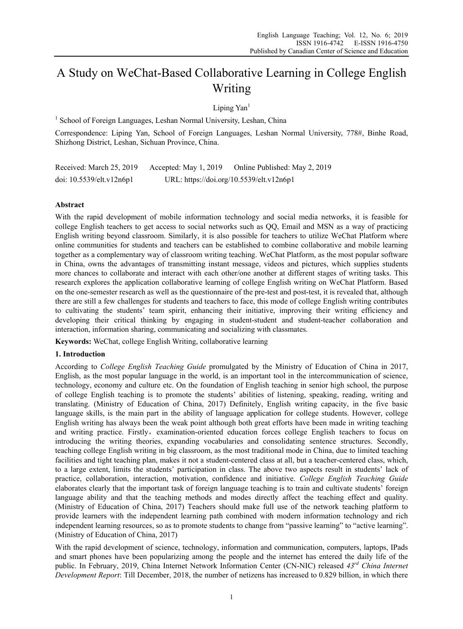# A Study on WeChat-Based Collaborative Learning in College English Writing

Liping Yan<sup>1</sup>

<sup>1</sup> School of Foreign Languages, Leshan Normal University, Leshan, China

Correspondence: Liping Yan, School of Foreign Languages, Leshan Normal University, 778#, Binhe Road, Shizhong District, Leshan, Sichuan Province, China.

Received: March 25, 2019 Accepted: May 1, 2019 Online Published: May 2, 2019 doi: 10.5539/elt.v12n6p1 URL: https://doi.org/10.5539/elt.v12n6p1

## **Abstract**

With the rapid development of mobile information technology and social media networks, it is feasible for college English teachers to get access to social networks such as QQ, Email and MSN as a way of practicing English writing beyond classroom. Similarly, it is also possible for teachers to utilize WeChat Platform where online communities for students and teachers can be established to combine collaborative and mobile learning together as a complementary way of classroom writing teaching. WeChat Platform, as the most popular software in China, owns the advantages of transmitting instant message, videos and pictures, which supplies students more chances to collaborate and interact with each other/one another at different stages of writing tasks. This research explores the application collaborative learning of college English writing on WeChat Platform. Based on the one-semester research as well as the questionnaire of the pre-test and post-test, it is revealed that, although there are still a few challenges for students and teachers to face, this mode of college English writing contributes to cultivating the students' team spirit, enhancing their initiative, improving their writing efficiency and developing their critical thinking by engaging in student-student and student-teacher collaboration and interaction, information sharing, communicating and socializing with classmates.

**Keywords:** WeChat, college English Writing, collaborative learning

## **1. Introduction**

According to *College English Teaching Guide* promulgated by the Ministry of Education of China in 2017, English, as the most popular language in the world, is an important tool in the intercommunication of science, technology, economy and culture etc. On the foundation of English teaching in senior high school, the purpose of college English teaching is to promote the students' abilities of listening, speaking, reading, writing and translating. (Ministry of Education of China, 2017) Definitely, English writing capacity, in the five basic language skills, is the main part in the ability of language application for college students. However, college English writing has always been the weak point although both great efforts have been made in writing teaching and writing practice. Firstly, examination-oriented education forces college English teachers to focus on introducing the writing theories, expanding vocabularies and consolidating sentence structures. Secondly, teaching college English writing in big classroom, as the most traditional mode in China, due to limited teaching facilities and tight teaching plan, makes it not a student-centered class at all, but a teacher-centered class, which, to a large extent, limits the students' participation in class. The above two aspects result in students' lack of practice, collaboration, interaction, motivation, confidence and initiative. *College English Teaching Guide* elaborates clearly that the important task of foreign language teaching is to train and cultivate students' foreign language ability and that the teaching methods and modes directly affect the teaching effect and quality. (Ministry of Education of China, 2017) Teachers should make full use of the network teaching platform to provide learners with the independent learning path combined with modern information technology and rich independent learning resources, so as to promote students to change from "passive learning" to "active learning". (Ministry of Education of China, 2017)

With the rapid development of science, technology, information and communication, computers, laptops, IPads and smart phones have been popularizing among the people and the internet has entered the daily life of the public. In February, 2019, China Internet Network Information Center (CN-NIC) released *43rd China Internet Development Report*: Till December, 2018, the number of netizens has increased to 0.829 billion, in which there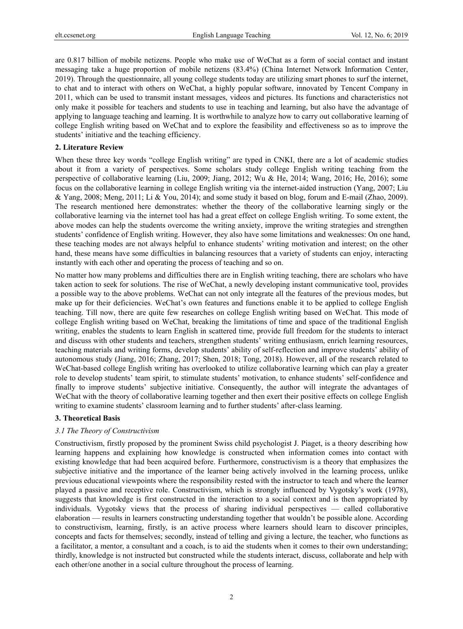are 0.817 billion of mobile netizens. People who make use of WeChat as a form of social contact and instant messaging take a huge proportion of mobile netizens (83.4%) (China Internet Network Information Center, 2019). Through the questionnaire, all young college students today are utilizing smart phones to surf the internet, to chat and to interact with others on WeChat, a highly popular software, innovated by Tencent Company in 2011, which can be used to transmit instant messages, videos and pictures. Its functions and characteristics not only make it possible for teachers and students to use in teaching and learning, but also have the advantage of applying to language teaching and learning. It is worthwhile to analyze how to carry out collaborative learning of college English writing based on WeChat and to explore the feasibility and effectiveness so as to improve the students' initiative and the teaching efficiency.

## **2. Literature Review**

When these three key words "college English writing" are typed in CNKI, there are a lot of academic studies about it from a variety of perspectives. Some scholars study college English writing teaching from the perspective of collaborative learning (Liu, 2009; Jiang, 2012; Wu & He, 2014; Wang, 2016; He, 2016); some focus on the collaborative learning in college English writing via the internet-aided instruction (Yang, 2007; Liu & Yang, 2008; Meng, 2011; Li & You, 2014); and some study it based on blog, forum and E-mail (Zhao, 2009). The research mentioned here demonstrates: whether the theory of the collaborative learning singly or the collaborative learning via the internet tool has had a great effect on college English writing. To some extent, the above modes can help the students overcome the writing anxiety, improve the writing strategies and strengthen students' confidence of English writing. However, they also have some limitations and weaknesses: On one hand, these teaching modes are not always helpful to enhance students' writing motivation and interest; on the other hand, these means have some difficulties in balancing resources that a variety of students can enjoy, interacting instantly with each other and operating the process of teaching and so on.

No matter how many problems and difficulties there are in English writing teaching, there are scholars who have taken action to seek for solutions. The rise of WeChat, a newly developing instant communicative tool, provides a possible way to the above problems. WeChat can not only integrate all the features of the previous modes, but make up for their deficiencies. WeChat's own features and functions enable it to be applied to college English teaching. Till now, there are quite few researches on college English writing based on WeChat. This mode of college English writing based on WeChat, breaking the limitations of time and space of the traditional English writing, enables the students to learn English in scattered time, provide full freedom for the students to interact and discuss with other students and teachers, strengthen students' writing enthusiasm, enrich learning resources, teaching materials and writing forms, develop students' ability of self-reflection and improve students' ability of autonomous study (Jiang, 2016; Zhang, 2017; Shen, 2018; Tong, 2018). However, all of the research related to WeChat-based college English writing has overlooked to utilize collaborative learning which can play a greater role to develop students' team spirit, to stimulate students' motivation, to enhance students' self-confidence and finally to improve students' subjective initiative. Consequently, the author will integrate the advantages of WeChat with the theory of collaborative learning together and then exert their positive effects on college English writing to examine students' classroom learning and to further students' after-class learning.

#### **3. Theoretical Basis**

## *3.1 The Theory of Constructivism*

Constructivism, firstly proposed by the prominent Swiss child psychologist J. Piaget, is a theory describing how learning happens and explaining how knowledge is constructed when information comes into contact with existing knowledge that had been acquired before. Furthermore, constructivism is a theory that emphasizes the subjective initiative and the importance of the learner being actively involved in the learning process, unlike previous educational viewpoints where the responsibility rested with the instructor to teach and where the learner played a passive and receptive role. Constructivism, which is strongly influenced by Vygotsky's work (1978), suggests that knowledge is first constructed in the interaction to a social context and is then appropriated by individuals. Vygotsky views that the process of sharing individual perspectives — called collaborative elaboration — results in learners constructing understanding together that wouldn't be possible alone. According to constructivism, learning, firstly, is an active process where learners should learn to discover principles, concepts and facts for themselves; secondly, instead of telling and giving a lecture, the teacher, who functions as a facilitator, a mentor, a consultant and a coach, is to aid the students when it comes to their own understanding; thirdly, knowledge is not instructed but constructed while the students interact, discuss, collaborate and help with each other/one another in a social culture throughout the process of learning.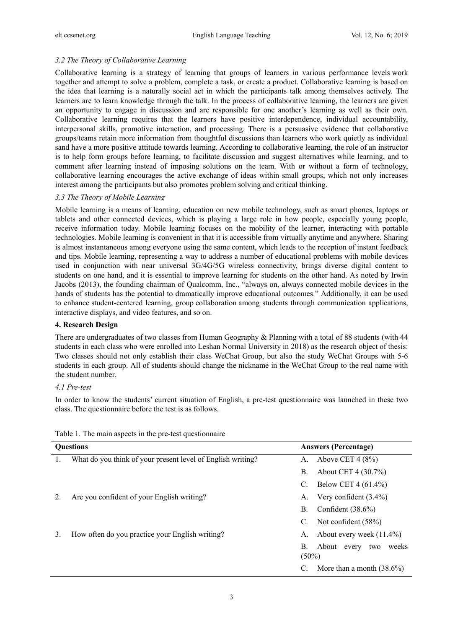# *3.2 The Theory of Collaborative Learning*

Collaborative learning is a strategy of learning that groups of learners in various performance levels work together and attempt to solve a problem, complete a task, or create a product. Collaborative learning is based on the idea that learning is a naturally social act in which the participants talk among themselves actively. The learners are to learn knowledge through the talk. In the process of collaborative learning, the learners are given an opportunity to engage in discussion and are responsible for one another's learning as well as their own. Collaborative learning requires that the learners have positive interdependence, individual accountability, interpersonal skills, promotive interaction, and processing. There is a persuasive evidence that collaborative groups/teams retain more information from thoughtful discussions than learners who work quietly as individual sand have a more positive attitude towards learning. According to collaborative learning, the role of an instructor is to help form groups before learning, to facilitate discussion and suggest alternatives while learning, and to comment after learning instead of imposing solutions on the team. With or without a form of technology, collaborative learning encourages the active exchange of ideas within small groups, which not only increases interest among the participants but also promotes problem solving and critical thinking.

## *3.3 The Theory of Mobile Learning*

Mobile learning is a means of learning, education on new mobile technology, such as smart phones, laptops or tablets and other connected devices, which is playing a large role in how people, especially young people, receive information today. Mobile learning focuses on the mobility of the learner, interacting with portable technologies. Mobile learning is convenient in that it is accessible from virtually anytime and anywhere. Sharing is almost instantaneous among everyone using the same content, which leads to the reception of instant feedback and tips. Mobile learning, representing a way to address a number of educational problems with mobile devices used in conjunction with near universal 3G/4G/5G wireless connectivity, brings diverse digital content to students on one hand, and it is essential to improve learning for students on the other hand. As noted by Irwin Jacobs (2013), the founding chairman of Qualcomm, Inc., "always on, always connected mobile devices in the hands of students has the potential to dramatically improve educational outcomes." Additionally, it can be used to enhance student-centered learning, group collaboration among students through communication applications, interactive displays, and video features, and so on.

## **4. Research Design**

There are undergraduates of two classes from Human Geography & Planning with a total of 88 students (with 44 students in each class who were enrolled into Leshan Normal University in 2018) as the research object of thesis: Two classes should not only establish their class WeChat Group, but also the study WeChat Groups with 5-6 students in each group. All of students should change the nickname in the WeChat Group to the real name with the student number.

## *4.1 Pre-test*

In order to know the students' current situation of English, a pre-test questionnaire was launched in these two class. The questionnaire before the test is as follows.

| <b>Questions</b> |                                                             | <b>Answers (Percentage)</b>                   |  |
|------------------|-------------------------------------------------------------|-----------------------------------------------|--|
| 1.               | What do you think of your present level of English writing? | Above CET $4(8\%)$<br>A.                      |  |
|                  |                                                             | About CET 4 (30.7%)<br>В.                     |  |
|                  |                                                             | Below CET 4 (61.4%)<br>C.                     |  |
|                  | Are you confident of your English writing?                  | Very confident $(3.4\%)$<br>А.                |  |
|                  |                                                             | Confident $(38.6\%)$<br>В.                    |  |
|                  |                                                             | Not confident (58%)<br>C.                     |  |
| 3.               | How often do you practice your English writing?             | About every week $(11.4\%)$<br>А.             |  |
|                  |                                                             | В.<br>About every<br>weeks<br>two<br>$(50\%)$ |  |
|                  |                                                             | More than a month $(38.6\%)$                  |  |

Table 1. The main aspects in the pre-test questionnaire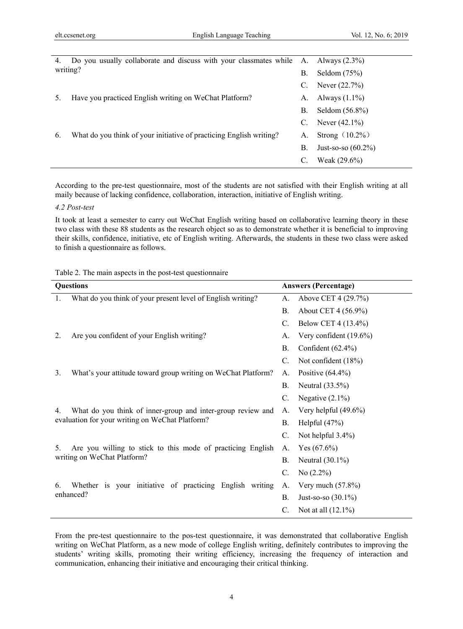| 4.       | Do you usually collaborate and discuss with your classmates while A. Always (2.3%) |    |                       |
|----------|------------------------------------------------------------------------------------|----|-----------------------|
| writing? |                                                                                    | В. | Seldom $(75%)$        |
|          |                                                                                    | C. | Never $(22.7%)$       |
|          | Have you practiced English writing on WeChat Platform?                             | А. | Always $(1.1\%)$      |
|          |                                                                                    | В. | Seldom $(56.8\%)$     |
|          |                                                                                    | C. | Never $(42.1\%)$      |
| 6.       | What do you think of your initiative of practicing English writing?                | А. | Strong $(10.2\%)$     |
|          |                                                                                    | В. | Just-so-so $(60.2\%)$ |
|          |                                                                                    | C. | Weak $(29.6\%)$       |

According to the pre-test questionnaire, most of the students are not satisfied with their English writing at all maily because of lacking confidence, collaboration, interaction, initiative of English writing.

#### *4.2 Post-test*

It took at least a semester to carry out WeChat English writing based on collaborative learning theory in these two class with these 88 students as the research object so as to demonstrate whether it is beneficial to improving their skills, confidence, initiative, etc of English writing. Afterwards, the students in these two class were asked to finish a questionnaire as follows.

|  |  | Table 2. The main aspects in the post-test questionnaire |
|--|--|----------------------------------------------------------|
|  |  |                                                          |
|  |  |                                                          |

| <b>Questions</b>                                                    |  |           | <b>Answers (Percentage)</b> |  |  |
|---------------------------------------------------------------------|--|-----------|-----------------------------|--|--|
| What do you think of your present level of English writing?<br>1.   |  | A.        | Above CET 4 (29.7%)         |  |  |
|                                                                     |  | В.        | About CET 4 (56.9%)         |  |  |
|                                                                     |  | C.        | Below CET 4 (13.4%)         |  |  |
| Are you confident of your English writing?<br>2.                    |  | А.        | Very confident (19.6%)      |  |  |
|                                                                     |  | <b>B.</b> | Confident $(62.4\%)$        |  |  |
|                                                                     |  | C.        | Not confident (18%)         |  |  |
| 3.<br>What's your attitude toward group writing on WeChat Platform? |  | А.        | Positive $(64.4\%)$         |  |  |
|                                                                     |  | <b>B.</b> | Neutral $(33.5\%)$          |  |  |
|                                                                     |  | C.        | Negative $(2.1\%)$          |  |  |
| What do you think of inner-group and inter-group review and<br>4.   |  | A.        | Very helpful $(49.6\%)$     |  |  |
| evaluation for your writing on WeChat Platform?                     |  | <b>B.</b> | Helpful $(47%)$             |  |  |
|                                                                     |  | $C$ .     | Not helpful 3.4%)           |  |  |
| Are you willing to stick to this mode of practicing English<br>5.   |  | А.        | Yes $(67.6\%)$              |  |  |
| writing on WeChat Platform?                                         |  | <b>B.</b> | Neutral $(30.1\%)$          |  |  |
|                                                                     |  | C.        | No $(2.2\%)$                |  |  |
| Whether is your initiative of practicing English writing<br>6.      |  | А.        | Very much $(57.8\%)$        |  |  |
| enhanced?                                                           |  | В.        | Just-so-so $(30.1\%)$       |  |  |
|                                                                     |  | C.        | Not at all $(12.1\%)$       |  |  |

From the pre-test questionnaire to the pos-test questionnaire, it was demonstrated that collaborative English writing on WeChat Platform, as a new mode of college English writing, definitely contributes to improving the students' writing skills, promoting their writing efficiency, increasing the frequency of interaction and communication, enhancing their initiative and encouraging their critical thinking.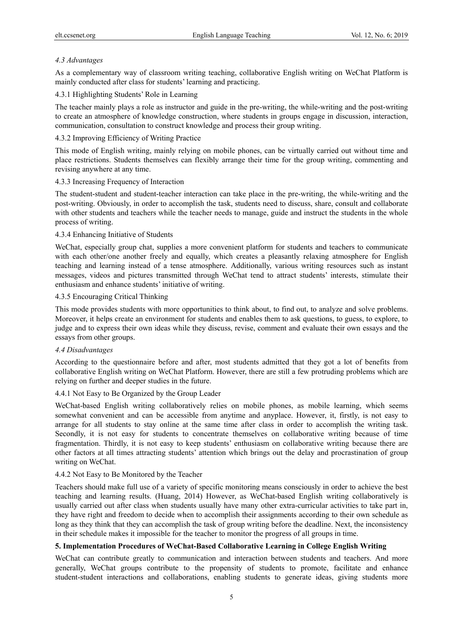# *4.3 Advantages*

As a complementary way of classroom writing teaching, collaborative English writing on WeChat Platform is mainly conducted after class for students' learning and practicing.

## 4.3.1 Highlighting Students' Role in Learning

The teacher mainly plays a role as instructor and guide in the pre-writing, the while-writing and the post-writing to create an atmosphere of knowledge construction, where students in groups engage in discussion, interaction, communication, consultation to construct knowledge and process their group writing.

# 4.3.2 Improving Efficiency of Writing Practice

This mode of English writing, mainly relying on mobile phones, can be virtually carried out without time and place restrictions. Students themselves can flexibly arrange their time for the group writing, commenting and revising anywhere at any time.

## 4.3.3 Increasing Frequency of Interaction

The student-student and student-teacher interaction can take place in the pre-writing, the while-writing and the post-writing. Obviously, in order to accomplish the task, students need to discuss, share, consult and collaborate with other students and teachers while the teacher needs to manage, guide and instruct the students in the whole process of writing.

## 4.3.4 Enhancing Initiative of Students

WeChat, especially group chat, supplies a more convenient platform for students and teachers to communicate with each other/one another freely and equally, which creates a pleasantly relaxing atmosphere for English teaching and learning instead of a tense atmosphere. Additionally, various writing resources such as instant messages, videos and pictures transmitted through WeChat tend to attract students' interests, stimulate their enthusiasm and enhance students' initiative of writing.

## 4.3.5 Encouraging Critical Thinking

This mode provides students with more opportunities to think about, to find out, to analyze and solve problems. Moreover, it helps create an environment for students and enables them to ask questions, to guess, to explore, to judge and to express their own ideas while they discuss, revise, comment and evaluate their own essays and the essays from other groups.

## *4.4 Disadvantages*

According to the questionnaire before and after, most students admitted that they got a lot of benefits from collaborative English writing on WeChat Platform. However, there are still a few protruding problems which are relying on further and deeper studies in the future.

# 4.4.1 Not Easy to Be Organized by the Group Leader

WeChat-based English writing collaboratively relies on mobile phones, as mobile learning, which seems somewhat convenient and can be accessible from anytime and anyplace. However, it, firstly, is not easy to arrange for all students to stay online at the same time after class in order to accomplish the writing task. Secondly, it is not easy for students to concentrate themselves on collaborative writing because of time fragmentation. Thirdly, it is not easy to keep students' enthusiasm on collaborative writing because there are other factors at all times attracting students' attention which brings out the delay and procrastination of group writing on WeChat.

## 4.4.2 Not Easy to Be Monitored by the Teacher

Teachers should make full use of a variety of specific monitoring means consciously in order to achieve the best teaching and learning results. (Huang, 2014) However, as WeChat-based English writing collaboratively is usually carried out after class when students usually have many other extra-curricular activities to take part in, they have right and freedom to decide when to accomplish their assignments according to their own schedule as long as they think that they can accomplish the task of group writing before the deadline. Next, the inconsistency in their schedule makes it impossible for the teacher to monitor the progress of all groups in time.

# **5. Implementation Procedures of WeChat-Based Collaborative Learning in College English Writing**

WeChat can contribute greatly to communication and interaction between students and teachers. And more generally, WeChat groups contribute to the propensity of students to promote, facilitate and enhance student-student interactions and collaborations, enabling students to generate ideas, giving students more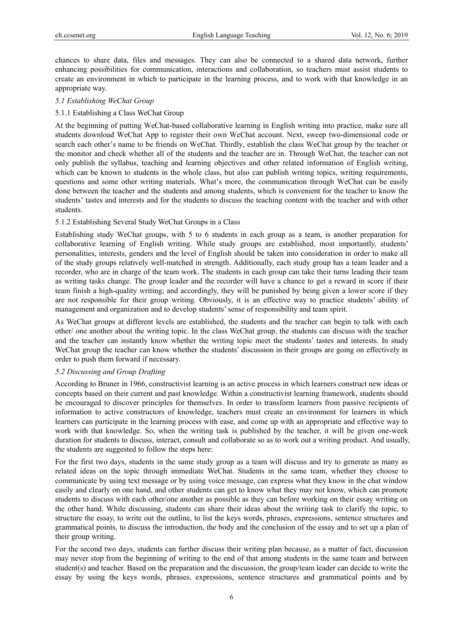chances to share data, files and messages. They can also be connected to a shared data network, further enhancing possibilities for communication, interactions and collaboration, so teachers must assist students to create an environment in which to participate in the learning process, and to work with that knowledge in an appropriate way.

#### *5.1 Establishing WeChat Group*

#### 5.1.1 Establishing a Class WeChat Group

At the beginning of putting WeChat-based collaborative learning in English writing into practice, make sure all students download WeChat App to register their own WeChat account. Next, sweep two-dimensional code or search each other's name to be friends on WeChat. Thirdly, establish the class WeChat group by the teacher or the monitor and check whether all of the students and the teacher are in. Through WeChat, the teacher can not only publish the syllabus, teaching and learning objectives and other related information of English writing, which can be known to students in the whole class, but also can publish writing topics, writing requirements, questions and some other writing materials. What's more, the communication through WeChat can be easily done between the teacher and the students and among students, which is convenient for the teacher to know the students' tastes and interests and for the students to discuss the teaching content with the teacher and with other students.

#### 5.1.2 Establishing Several Study WeChat Groups in a Class

Establishing study WeChat groups, with 5 to 6 students in each group as a team, is another preparation for collaborative learning of English writing. While study groups are established, most importantly, students' personalities, interests, genders and the level of English should be taken into consideration in order to make all of the study groups relatively well-matched in strength. Additionally, each study group has a team leader and a recorder, who are in charge of the team work. The students in each group can take their turns leading their team as writing tasks change. The group leader and the recorder will have a chance to get a reward in score if their team finish a high-quality writing; and accordingly, they will be punished by being given a lower score if they are not responsible for their group writing. Obviously, it is an effective way to practice students' ability of management and organization and to develop students' sense of responsibility and team spirit.

As WeChat groups at different levels are established, the students and the teacher can begin to talk with each other/ one another about the writing topic. In the class WeChat group, the students can discuss with the teacher and the teacher can instantly know whether the writing topic meet the students' tastes and interests. In study WeChat group the teacher can know whether the students' discussion in their groups are going on effectively in order to push them forward if necessary.

#### *5.2 Discussing and Group Drafting*

According to Bruner in 1966, constructivist learning is an active process in which learners construct new ideas or concepts based on their current and past knowledge. Within a constructivist learning framework, students should be encouraged to discover principles for themselves. In order to transform learners from passive recipients of information to active constructors of knowledge, teachers must create an environment for learners in which learners can participate in the learning process with ease, and come up with an appropriate and effective way to work with that knowledge. So, when the writing task is published by the teacher, it will be given one-week duration for students to discuss, interact, consult and collaborate so as to work out a writing product. And usually, the students are suggested to follow the steps here:

For the first two days, students in the same study group as a team will discuss and try to generate as many as related ideas on the topic through immediate WeChat. Students in the same team, whether they choose to communicate by using text message or by using voice message, can express what they know in the chat window easily and clearly on one hand, and other students can get to know what they may not know, which can promote students to discuss with each other/one another as possible as they can before working on their essay writing on the other hand. While discussing, students can share their ideas about the writing task to clarify the topic, to structure the essay, to write out the outline, to list the keys words, phrases, expressions, sentence structures and grammatical points, to discuss the introduction, the body and the conclusion of the essay and to set up a plan of their group writing.

For the second two days, students can further discuss their writing plan because, as a matter of fact, discussion may never stop from the beginning of writing to the end of that among students in the same team and between student(s) and teacher. Based on the preparation and the discussion, the group/team leader can decide to write the essay by using the keys words, phrases, expressions, sentence structures and grammatical points and by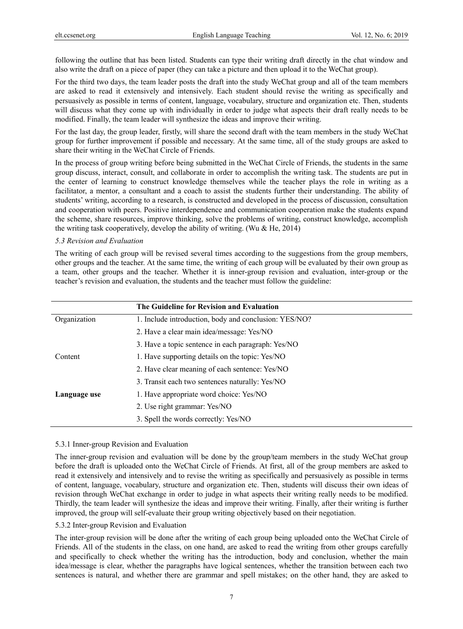following the outline that has been listed. Students can type their writing draft directly in the chat window and also write the draft on a piece of paper (they can take a picture and then upload it to the WeChat group).

For the third two days, the team leader posts the draft into the study WeChat group and all of the team members are asked to read it extensively and intensively. Each student should revise the writing as specifically and persuasively as possible in terms of content, language, vocabulary, structure and organization etc. Then, students will discuss what they come up with individually in order to judge what aspects their draft really needs to be modified. Finally, the team leader will synthesize the ideas and improve their writing.

For the last day, the group leader, firstly, will share the second draft with the team members in the study WeChat group for further improvement if possible and necessary. At the same time, all of the study groups are asked to share their writing in the WeChat Circle of Friends.

In the process of group writing before being submitted in the WeChat Circle of Friends, the students in the same group discuss, interact, consult, and collaborate in order to accomplish the writing task. The students are put in the center of learning to construct knowledge themselves while the teacher plays the role in writing as a facilitator, a mentor, a consultant and a coach to assist the students further their understanding. The ability of students' writing, according to a research, is constructed and developed in the process of discussion, consultation and cooperation with peers. Positive interdependence and communication cooperation make the students expand the scheme, share resources, improve thinking, solve the problems of writing, construct knowledge, accomplish the writing task cooperatively, develop the ability of writing. (Wu & He, 2014)

#### *5.3 Revision and Evaluation*

The writing of each group will be revised several times according to the suggestions from the group members, other groups and the teacher. At the same time, the writing of each group will be evaluated by their own group as a team, other groups and the teacher. Whether it is inner-group revision and evaluation, inter-group or the teacher's revision and evaluation, the students and the teacher must follow the guideline:

|              | The Guideline for Revision and Evaluation             |
|--------------|-------------------------------------------------------|
| Organization | 1. Include introduction, body and conclusion: YES/NO? |
|              | 2. Have a clear main idea/message: Yes/NO             |
|              | 3. Have a topic sentence in each paragraph: Yes/NO    |
| Content      | 1. Have supporting details on the topic: Yes/NO       |
|              | 2. Have clear meaning of each sentence: Yes/NO        |
|              | 3. Transit each two sentences naturally: Yes/NO       |
| Language use | 1. Have appropriate word choice: Yes/NO               |
|              | 2. Use right grammar: Yes/NO                          |
|              | 3. Spell the words correctly: Yes/NO                  |

## 5.3.1 Inner-group Revision and Evaluation

The inner-group revision and evaluation will be done by the group/team members in the study WeChat group before the draft is uploaded onto the WeChat Circle of Friends. At first, all of the group members are asked to read it extensively and intensively and to revise the writing as specifically and persuasively as possible in terms of content, language, vocabulary, structure and organization etc. Then, students will discuss their own ideas of revision through WeChat exchange in order to judge in what aspects their writing really needs to be modified. Thirdly, the team leader will synthesize the ideas and improve their writing. Finally, after their writing is further improved, the group will self-evaluate their group writing objectively based on their negotiation.

## 5.3.2 Inter-group Revision and Evaluation

The inter-group revision will be done after the writing of each group being uploaded onto the WeChat Circle of Friends. All of the students in the class, on one hand, are asked to read the writing from other groups carefully and specifically to check whether the writing has the introduction, body and conclusion, whether the main idea/message is clear, whether the paragraphs have logical sentences, whether the transition between each two sentences is natural, and whether there are grammar and spell mistakes; on the other hand, they are asked to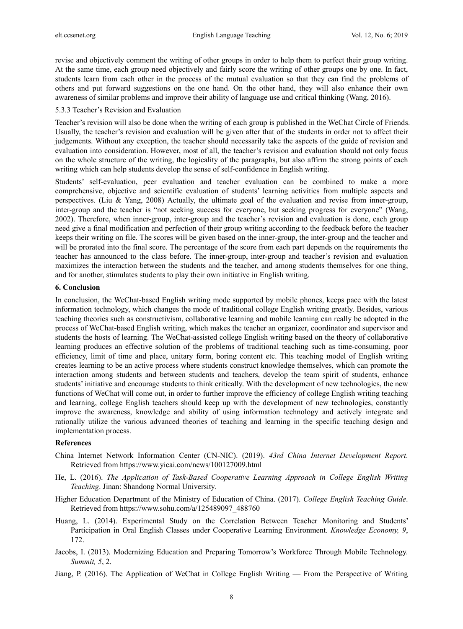revise and objectively comment the writing of other groups in order to help them to perfect their group writing. At the same time, each group need objectively and fairly score the writing of other groups one by one. In fact, students learn from each other in the process of the mutual evaluation so that they can find the problems of others and put forward suggestions on the one hand. On the other hand, they will also enhance their own awareness of similar problems and improve their ability of language use and critical thinking (Wang, 2016).

#### 5.3.3 Teacher's Revision and Evaluation

Teacher's revision will also be done when the writing of each group is published in the WeChat Circle of Friends. Usually, the teacher's revision and evaluation will be given after that of the students in order not to affect their judgements. Without any exception, the teacher should necessarily take the aspects of the guide of revision and evaluation into consideration. However, most of all, the teacher's revision and evaluation should not only focus on the whole structure of the writing, the logicality of the paragraphs, but also affirm the strong points of each writing which can help students develop the sense of self-confidence in English writing.

Students' self-evaluation, peer evaluation and teacher evaluation can be combined to make a more comprehensive, objective and scientific evaluation of students' learning activities from multiple aspects and perspectives. (Liu & Yang, 2008) Actually, the ultimate goal of the evaluation and revise from inner-group, inter-group and the teacher is "not seeking success for everyone, but seeking progress for everyone" (Wang, 2002). Therefore, when inner-group, inter-group and the teacher's revision and evaluation is done, each group need give a final modification and perfection of their group writing according to the feedback before the teacher keeps their writing on file. The scores will be given based on the inner-group, the inter-group and the teacher and will be prorated into the final score. The percentage of the score from each part depends on the requirements the teacher has announced to the class before. The inner-group, inter-group and teacher's revision and evaluation maximizes the interaction between the students and the teacher, and among students themselves for one thing, and for another, stimulates students to play their own initiative in English writing.

#### **6. Conclusion**

In conclusion, the WeChat-based English writing mode supported by mobile phones, keeps pace with the latest information technology, which changes the mode of traditional college English writing greatly. Besides, various teaching theories such as constructivism, collaborative learning and mobile learning can really be adopted in the process of WeChat-based English writing, which makes the teacher an organizer, coordinator and supervisor and students the hosts of learning. The WeChat-assisted college English writing based on the theory of collaborative learning produces an effective solution of the problems of traditional teaching such as time-consuming, poor efficiency, limit of time and place, unitary form, boring content etc. This teaching model of English writing creates learning to be an active process where students construct knowledge themselves, which can promote the interaction among students and between students and teachers, develop the team spirit of students, enhance students' initiative and encourage students to think critically. With the development of new technologies, the new functions of WeChat will come out, in order to further improve the efficiency of college English writing teaching and learning, college English teachers should keep up with the development of new technologies, constantly improve the awareness, knowledge and ability of using information technology and actively integrate and rationally utilize the various advanced theories of teaching and learning in the specific teaching design and implementation process.

# **References**

- China Internet Network Information Center (CN-NIC). (2019). *43rd China Internet Development Report*. Retrieved from https://www.yicai.com/news/100127009.html
- He, L. (2016). *The Application of Task-Based Cooperative Learning Approach in College English Writing Teaching*. Jinan: Shandong Normal University.
- Higher Education Department of the Ministry of Education of China. (2017). *College English Teaching Guide*. Retrieved from https://www.sohu.com/a/125489097\_488760
- Huang, L. (2014). Experimental Study on the Correlation Between Teacher Monitoring and Students' Participation in Oral English Classes under Cooperative Learning Environment. *Knowledge Economy, 9*, 172.
- Jacobs, I. (2013). Modernizing Education and Preparing Tomorrow's Workforce Through Mobile Technology. *Summit, 5*, 2.
- Jiang, P. (2016). The Application of WeChat in College English Writing From the Perspective of Writing